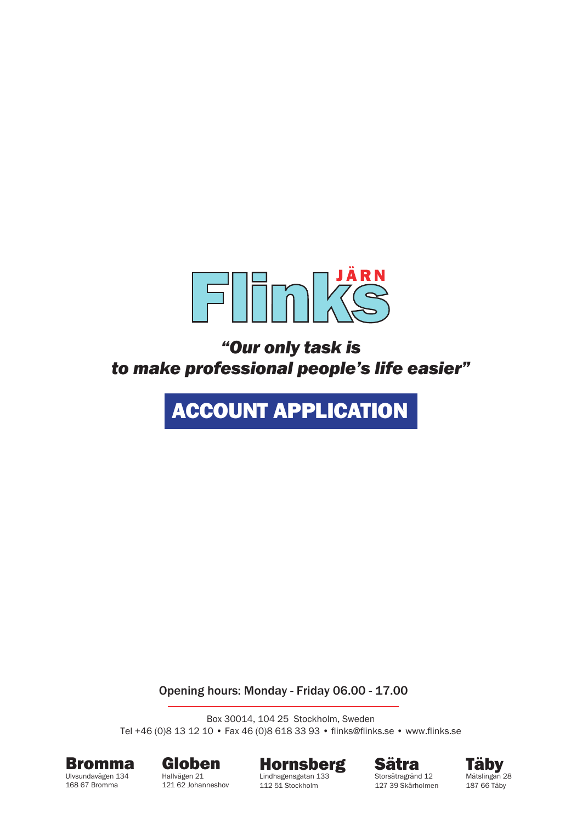

*"Our only task is to make professional people's life easier"*

# ACCOUNT APPLICATION

Opening hours: Monday - Friday 06.00 - 17.00

Box 30014, 104 25 Stockholm, Sweden Tel +46 (0)8 13 12 10 • Fax 46 (0)8 618 33 93 • flinks@flinks.se • www.flinks.se



168 67 Bromma



121 62 Johanneshov



Lindhagensgatan 133 112 51 Stockholm





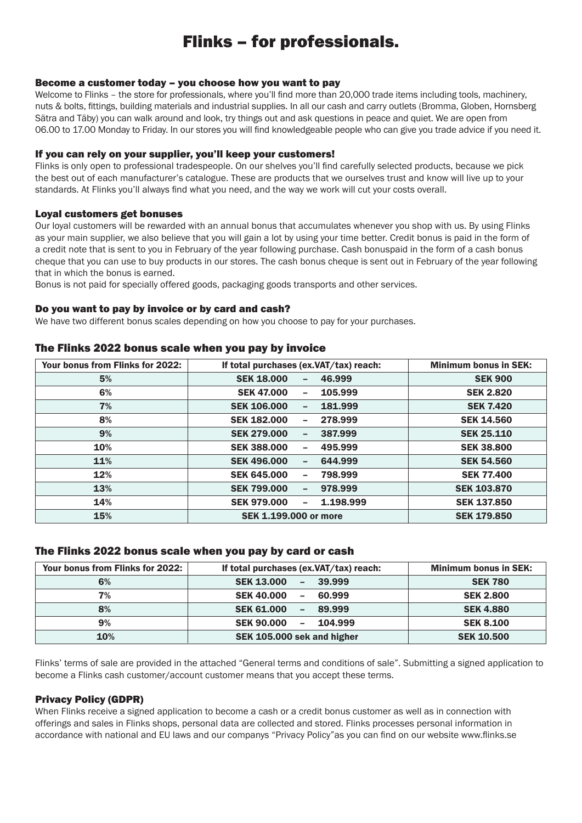### Flinks – for professionals.

#### Become a customer today – you choose how you want to pay

Welcome to Flinks – the store for professionals, where you'll find more than 20,000 trade items including tools, machinery, nuts & bolts, fittings, building materials and industrial supplies. In all our cash and carry outlets (Bromma, Globen, Hornsberg Sätra and Täby) you can walk around and look, try things out and ask questions in peace and quiet. We are open from 06.00 to 17.00 Monday to Friday. In our stores you will find knowledgeable people who can give you trade advice if you need it.

#### If you can rely on your supplier, you'll keep your customers!

Flinks is only open to professional tradespeople. On our shelves you'll find carefully selected products, because we pick the best out of each manufacturer's catalogue. These are products that we ourselves trust and know will live up to your standards. At Flinks you'll always find what you need, and the way we work will cut your costs overall.

#### Loyal customers get bonuses

Our loyal customers will be rewarded with an annual bonus that accumulates whenever you shop with us. By using Flinks as your main supplier, we also believe that you will gain a lot by using your time better. Credit bonus is paid in the form of a credit note that is sent to you in February of the year following purchase. Cash bonuspaid in the form of a cash bonus cheque that you can use to buy products in our stores. The cash bonus cheque is sent out in February of the year following that in which the bonus is earned.

Bonus is not paid for specially offered goods, packaging goods transports and other services.

#### Do you want to pay by invoice or by card and cash?

We have two different bonus scales depending on how you choose to pay for your purchases.

### Your bonus from Flinks for 2022: If total purchases (ex.VAT/tax) reach: Minimum bonus in SEK: 5% SEK 18.000 – 46.999 SEK 900 6% SEK 47.000 – 105.999 SEK 2.820 7% SEK 106.000 – 181.999 SEK 7.420

#### The Flinks 2022 bonus scale when you pay by invoice

| $\blacksquare$ | $-$ - $\sim$ - $\sim$ $\sim$ $\sim$ $\sim$<br>------        | -------            |
|----------------|-------------------------------------------------------------|--------------------|
| 8%             | 278.999<br><b>SEK 182,000</b><br>$\overline{\phantom{0}}$   | <b>SEK 14.560</b>  |
| 9%             | 387.999<br><b>SEK 279,000</b><br>-                          | <b>SEK 25.110</b>  |
| 10%            | 495.999<br><b>SEK 388,000</b><br>$\overline{\phantom{0}}$   | <b>SEK 38,800</b>  |
| 11%            | 644.999<br><b>SEK 496,000</b><br>-                          | <b>SEK 54.560</b>  |
| 12%            | 798.999<br><b>SEK 645,000</b><br>-                          | <b>SEK 77.400</b>  |
| 13%            | 978.999<br><b>SEK 799,000</b><br>-                          | <b>SEK 103.870</b> |
| 14%            | 1.198.999<br><b>SEK 979.000</b><br>$\overline{\phantom{0}}$ | <b>SEK 137.850</b> |
| 15%            | <b>SEK 1.199.000 or more</b>                                | <b>SEK 179.850</b> |

#### The Flinks 2022 bonus scale when you pay by card or cash

| Your bonus from Flinks for 2022: | If total purchases (ex.VAT/tax) reach: | <b>Minimum bonus in SEK:</b> |
|----------------------------------|----------------------------------------|------------------------------|
| 6%                               | <b>SEK 13.000</b><br>$-39.999$         | <b>SEK 780</b>               |
| 7%                               | <b>SEK 40.000</b><br>$-60.999$         | <b>SEK 2.800</b>             |
| 8%                               | <b>SEK 61,000</b><br>89.999<br>$\sim$  | <b>SEK 4.880</b>             |
| 9%                               | <b>SEK 90.000</b><br>104.999<br>$\sim$ | <b>SEK 8.100</b>             |
| 10%                              | SEK 105.000 sek and higher             | <b>SEK 10.500</b>            |

Flinks' terms of sale are provided in the attached "General terms and conditions of sale". Submitting a signed application to become a Flinks cash customer/account customer means that you accept these terms.

#### Privacy Policy (GDPR)

When Flinks receive a signed application to become a cash or a credit bonus customer as well as in connection with offerings and sales in Flinks shops, personal data are collected and stored. Flinks processes personal information in accordance with national and EU laws and our companys "Privacy Policy"as you can find on our website www.flinks.se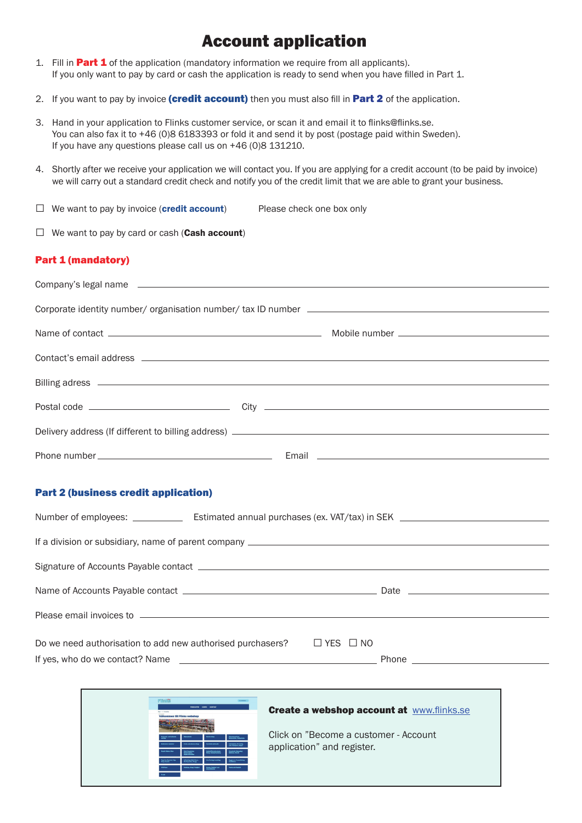### Account application

- 1. Fill in **Part 1** of the application (mandatory information we require from all applicants). If you only want to pay by card or cash the application is ready to send when you have filled in Part 1.
- 2. If you want to pay by invoice (credit account) then you must also fill in Part 2 of the application.
- 3. Hand in your application to Flinks customer service, or scan it and email it to flinks@flinks.se. You can also fax it to +46 (0)8 6183393 or fold it and send it by post (postage paid within Sweden). If you have any questions please call us on +46 (0)8 131210.
- 4. Shortly after we receive your application we will contact you. If you are applying for a credit account (to be paid by invoice) we will carry out a standard credit check and notify you of the credit limit that we are able to grant your business.
- $\Box$  We want to pay by invoice (credit account) Please check one box only

 $\Box$  We want to pay by card or cash (Cash account)

#### Part 1 (mandatory)

#### Part 2 (business credit application)

| Please email invoices to entertainment and the control of the state of the control of the control of the control of the control of the control of the control of the control of the control of the control of the control of t |  |  |
|--------------------------------------------------------------------------------------------------------------------------------------------------------------------------------------------------------------------------------|--|--|
|                                                                                                                                                                                                                                |  |  |
| Do we need authorisation to add new authorised purchasers? $\square$ YES $\square$ NO                                                                                                                                          |  |  |
|                                                                                                                                                                                                                                |  |  |